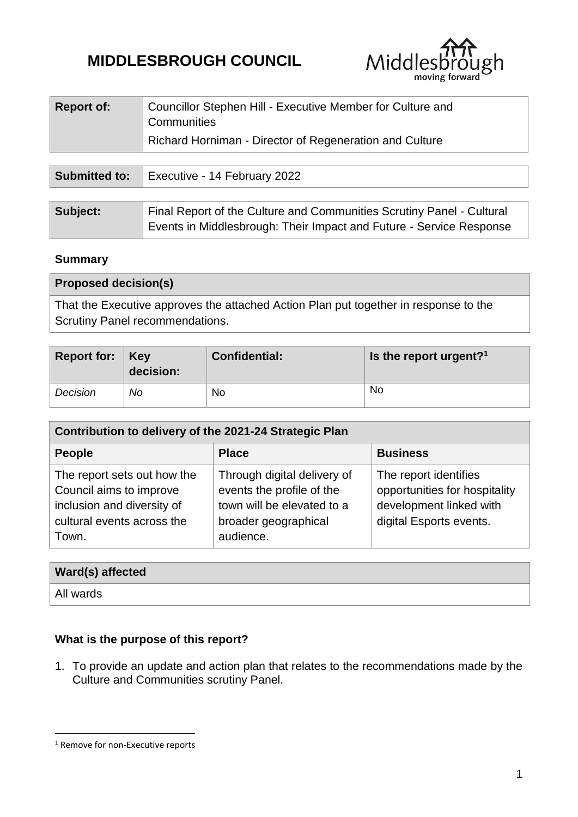# **MIDDLESBROUGH COUNCIL**



| <b>Report of:</b>    | Councillor Stephen Hill - Executive Member for Culture and<br>Communities<br>Richard Horniman - Director of Regeneration and Culture |
|----------------------|--------------------------------------------------------------------------------------------------------------------------------------|
|                      |                                                                                                                                      |
| <b>Submitted to:</b> | Executive - 14 February 2022                                                                                                         |

| Subject: | Final Report of the Culture and Communities Scrutiny Panel - Cultural |
|----------|-----------------------------------------------------------------------|
|          | Events in Middlesbrough: Their Impact and Future - Service Response   |

#### **Summary**

| <b>Proposed decision(s)</b>                                                          |
|--------------------------------------------------------------------------------------|
| That the Executive approves the attached Action Plan put together in response to the |
| Scrutiny Panel recommendations.                                                      |

| Report for:   Key | decision: | <b>Confidential:</b> | Is the report urgent? <sup>1</sup> |
|-------------------|-----------|----------------------|------------------------------------|
| Decision          | No        | No                   | <b>No</b>                          |

| Contribution to delivery of the 2021-24 Strategic Plan                                                                      |                                                                                                                             |                                                                                                              |  |  |  |  |
|-----------------------------------------------------------------------------------------------------------------------------|-----------------------------------------------------------------------------------------------------------------------------|--------------------------------------------------------------------------------------------------------------|--|--|--|--|
| <b>People</b>                                                                                                               | <b>Place</b>                                                                                                                | <b>Business</b>                                                                                              |  |  |  |  |
| The report sets out how the<br>Council aims to improve<br>inclusion and diversity of<br>cultural events across the<br>Town. | Through digital delivery of<br>events the profile of the<br>town will be elevated to a<br>broader geographical<br>audience. | The report identifies<br>opportunities for hospitality<br>development linked with<br>digital Esports events. |  |  |  |  |

| Ward(s) affected |  |
|------------------|--|
| All wards        |  |

# **What is the purpose of this report?**

1. To provide an update and action plan that relates to the recommendations made by the Culture and Communities scrutiny Panel.

1

<sup>&</sup>lt;sup>1</sup> Remove for non-Executive reports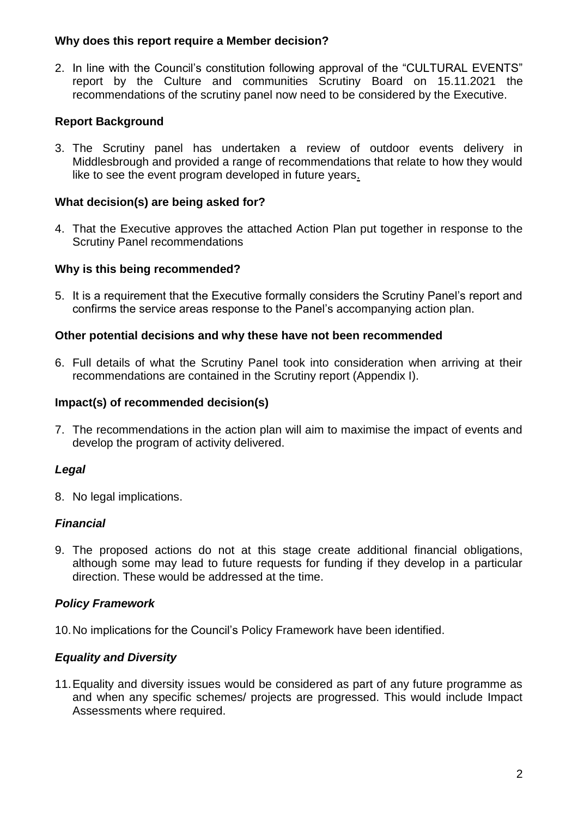#### **Why does this report require a Member decision?**

2. In line with the Council's constitution following approval of the "CULTURAL EVENTS" report by the Culture and communities Scrutiny Board on 15.11.2021 the recommendations of the scrutiny panel now need to be considered by the Executive.

## **Report Background**

3. The Scrutiny panel has undertaken a review of outdoor events delivery in Middlesbrough and provided a range of recommendations that relate to how they would like to see the event program developed in future years.

### **What decision(s) are being asked for?**

4. That the Executive approves the attached Action Plan put together in response to the Scrutiny Panel recommendations

#### **Why is this being recommended?**

5. It is a requirement that the Executive formally considers the Scrutiny Panel's report and confirms the service areas response to the Panel's accompanying action plan.

#### **Other potential decisions and why these have not been recommended**

6. Full details of what the Scrutiny Panel took into consideration when arriving at their recommendations are contained in the Scrutiny report (Appendix I).

#### **Impact(s) of recommended decision(s)**

7. The recommendations in the action plan will aim to maximise the impact of events and develop the program of activity delivered.

## *Legal*

8. No legal implications.

## *Financial*

9. The proposed actions do not at this stage create additional financial obligations, although some may lead to future requests for funding if they develop in a particular direction. These would be addressed at the time.

## *Policy Framework*

10.No implications for the Council's Policy Framework have been identified.

## *Equality and Diversity*

11.Equality and diversity issues would be considered as part of any future programme as and when any specific schemes/ projects are progressed. This would include Impact Assessments where required.